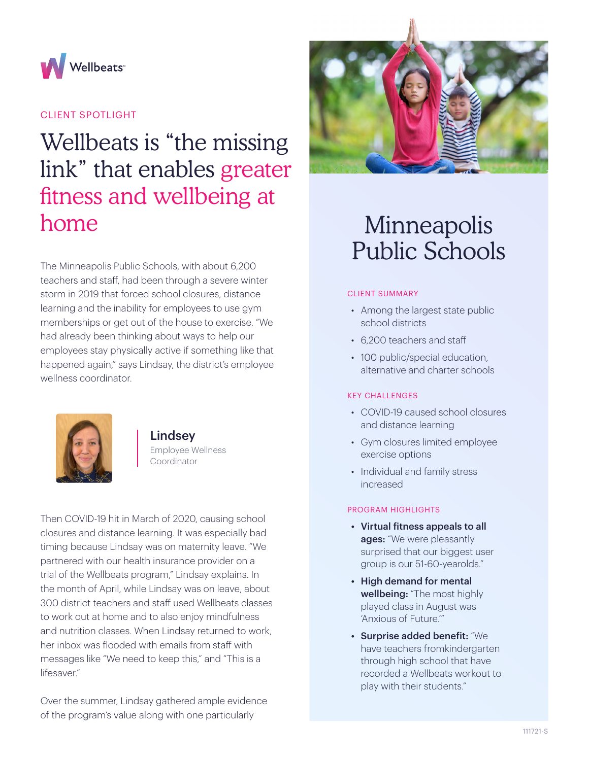

## CLIENT SPOTLIGHT

# Wellbeats is "the missing link" that enables greater fitness and wellbeing at home

The Minneapolis Public Schools, with about 6,200 teachers and staff, had been through a severe winter storm in 2019 that forced school closures, distance learning and the inability for employees to use gym memberships or get out of the house to exercise. "We had already been thinking about ways to help our employees stay physically active if something like that happened again," says Lindsay, the district's employee wellness coordinator.



Lindsey Employee Wellness Coordinator

Then COVID-19 hit in March of 2020, causing school closures and distance learning. It was especially bad timing because Lindsay was on maternity leave. "We partnered with our health insurance provider on a trial of the Wellbeats program," Lindsay explains. In the month of April, while Lindsay was on leave, about 300 district teachers and staff used Wellbeats classes to work out at home and to also enjoy mindfulness and nutrition classes. When Lindsay returned to work, her inbox was flooded with emails from staff with messages like "We need to keep this," and "This is a lifesaver"

Over the summer, Lindsay gathered ample evidence of the program's value along with one particularly



# Minneapolis Public Schools

#### CLIENT SUMMARY

- Among the largest state public school districts
- 6,200 teachers and staff
- 100 public/special education, alternative and charter schools

### KEY CHALLENGES

- COVID-19 caused school closures and distance learning
- Gym closures limited employee exercise options
- Individual and family stress increased

### PROGRAM HIGHLIGHTS

- Virtual fitness appeals to all ages: "We were pleasantly surprised that our biggest user group is our 51-60-yearolds."
- High demand for mental wellbeing: "The most highly played class in August was 'Anxious of Future.'"
- Surprise added benefit: "We have teachers fromkindergarten through high school that have recorded a Wellbeats workout to play with their students."